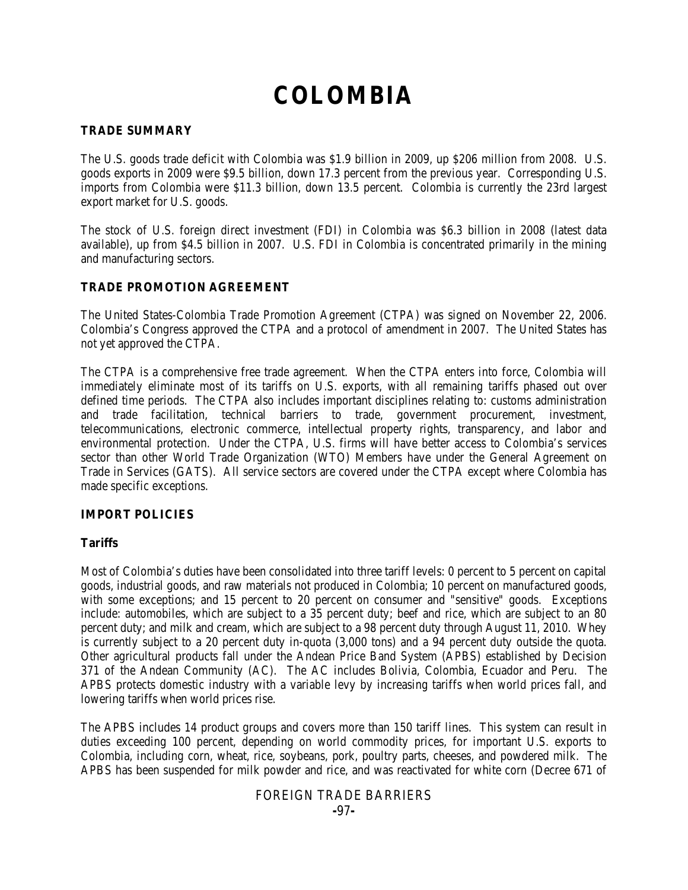# **COLOMBIA**

## **TRADE SUMMARY**

The U.S. goods trade deficit with Colombia was \$1.9 billion in 2009, up \$206 million from 2008. U.S. goods exports in 2009 were \$9.5 billion, down 17.3 percent from the previous year. Corresponding U.S. imports from Colombia were \$11.3 billion, down 13.5 percent. Colombia is currently the 23rd largest export market for U.S. goods.

The stock of U.S. foreign direct investment (FDI) in Colombia was \$6.3 billion in 2008 (latest data available), up from \$4.5 billion in 2007. U.S. FDI in Colombia is concentrated primarily in the mining and manufacturing sectors.

## **TRADE PROMOTION AGREEMENT**

The United States-Colombia Trade Promotion Agreement (CTPA) was signed on November 22, 2006. Colombia's Congress approved the CTPA and a protocol of amendment in 2007. The United States has not yet approved the CTPA.

The CTPA is a comprehensive free trade agreement. When the CTPA enters into force, Colombia will immediately eliminate most of its tariffs on U.S. exports, with all remaining tariffs phased out over defined time periods. The CTPA also includes important disciplines relating to: customs administration and trade facilitation, technical barriers to trade, government procurement, investment, telecommunications, electronic commerce, intellectual property rights, transparency, and labor and environmental protection. Under the CTPA, U.S. firms will have better access to Colombia's services sector than other World Trade Organization (WTO) Members have under the General Agreement on Trade in Services (GATS). All service sectors are covered under the CTPA except where Colombia has made specific exceptions.

## **IMPORT POLICIES**

## **Tariffs**

Most of Colombia's duties have been consolidated into three tariff levels: 0 percent to 5 percent on capital goods, industrial goods, and raw materials not produced in Colombia; 10 percent on manufactured goods, with some exceptions; and 15 percent to 20 percent on consumer and "sensitive" goods. Exceptions include: automobiles, which are subject to a 35 percent duty; beef and rice, which are subject to an 80 percent duty; and milk and cream, which are subject to a 98 percent duty through August 11, 2010. Whey is currently subject to a 20 percent duty in-quota (3,000 tons) and a 94 percent duty outside the quota. Other agricultural products fall under the Andean Price Band System (APBS) established by Decision 371 of the Andean Community (AC). The AC includes Bolivia, Colombia, Ecuador and Peru. The APBS protects domestic industry with a variable levy by increasing tariffs when world prices fall, and lowering tariffs when world prices rise.

The APBS includes 14 product groups and covers more than 150 tariff lines. This system can result in duties exceeding 100 percent, depending on world commodity prices, for important U.S. exports to Colombia, including corn, wheat, rice, soybeans, pork, poultry parts, cheeses, and powdered milk. The APBS has been suspended for milk powder and rice, and was reactivated for white corn (Decree 671 of

## FOREIGN TRADE BARRIERS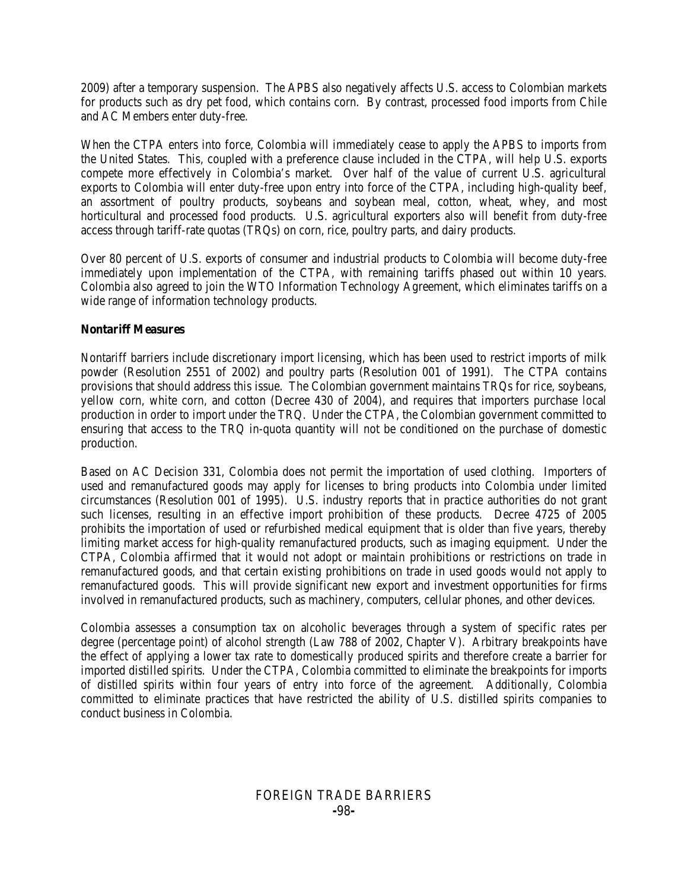2009) after a temporary suspension. The APBS also negatively affects U.S. access to Colombian markets for products such as dry pet food, which contains corn. By contrast, processed food imports from Chile and AC Members enter duty-free.

When the CTPA enters into force, Colombia will immediately cease to apply the APBS to imports from the United States. This, coupled with a preference clause included in the CTPA, will help U.S. exports compete more effectively in Colombia's market. Over half of the value of current U.S. agricultural exports to Colombia will enter duty-free upon entry into force of the CTPA, including high-quality beef, an assortment of poultry products, soybeans and soybean meal, cotton, wheat, whey, and most horticultural and processed food products. U.S. agricultural exporters also will benefit from duty-free access through tariff-rate quotas (TRQs) on corn, rice, poultry parts, and dairy products.

Over 80 percent of U.S. exports of consumer and industrial products to Colombia will become duty-free immediately upon implementation of the CTPA, with remaining tariffs phased out within 10 years. Colombia also agreed to join the WTO Information Technology Agreement, which eliminates tariffs on a wide range of information technology products.

## **Nontariff Measures**

Nontariff barriers include discretionary import licensing, which has been used to restrict imports of milk powder (Resolution 2551 of 2002) and poultry parts (Resolution 001 of 1991). The CTPA contains provisions that should address this issue. The Colombian government maintains TRQs for rice, soybeans, yellow corn, white corn, and cotton (Decree 430 of 2004), and requires that importers purchase local production in order to import under the TRQ. Under the CTPA, the Colombian government committed to ensuring that access to the TRQ in-quota quantity will not be conditioned on the purchase of domestic production.

Based on AC Decision 331, Colombia does not permit the importation of used clothing. Importers of used and remanufactured goods may apply for licenses to bring products into Colombia under limited circumstances (Resolution 001 of 1995). U.S. industry reports that in practice authorities do not grant such licenses, resulting in an effective import prohibition of these products. Decree 4725 of 2005 prohibits the importation of used or refurbished medical equipment that is older than five years, thereby limiting market access for high-quality remanufactured products, such as imaging equipment. Under the CTPA, Colombia affirmed that it would not adopt or maintain prohibitions or restrictions on trade in remanufactured goods, and that certain existing prohibitions on trade in used goods would not apply to remanufactured goods. This will provide significant new export and investment opportunities for firms involved in remanufactured products, such as machinery, computers, cellular phones, and other devices.

Colombia assesses a consumption tax on alcoholic beverages through a system of specific rates per degree (percentage point) of alcohol strength (Law 788 of 2002, Chapter V). Arbitrary breakpoints have the effect of applying a lower tax rate to domestically produced spirits and therefore create a barrier for imported distilled spirits. Under the CTPA, Colombia committed to eliminate the breakpoints for imports of distilled spirits within four years of entry into force of the agreement. Additionally, Colombia committed to eliminate practices that have restricted the ability of U.S. distilled spirits companies to conduct business in Colombia.

## FOREIGN TRADE BARRIERS **-**98**-**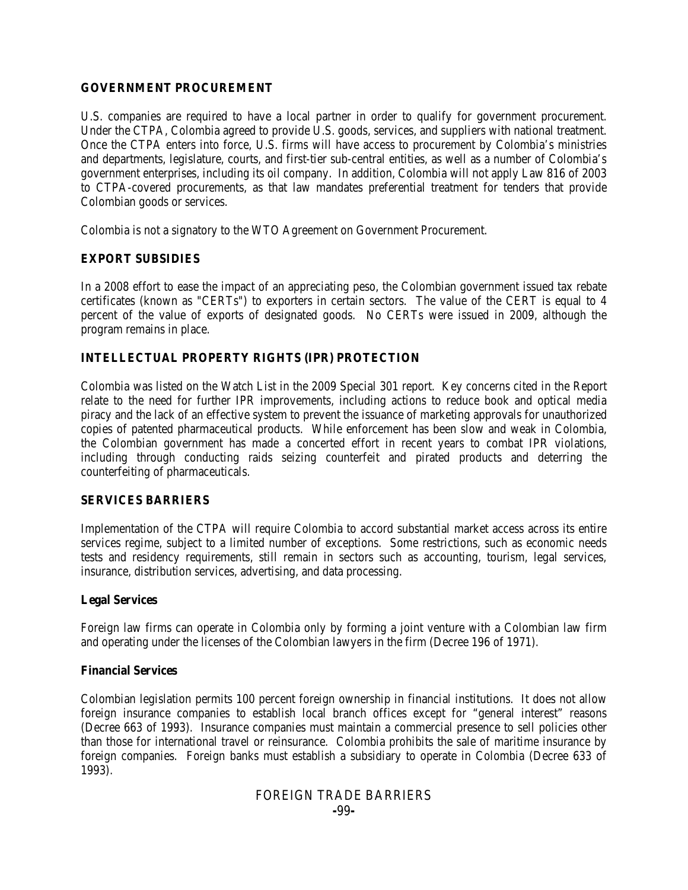#### **GOVERNMENT PROCUREMENT**

U.S. companies are required to have a local partner in order to qualify for government procurement. Under the CTPA, Colombia agreed to provide U.S. goods, services, and suppliers with national treatment. Once the CTPA enters into force, U.S. firms will have access to procurement by Colombia's ministries and departments, legislature, courts, and first-tier sub-central entities, as well as a number of Colombia's government enterprises, including its oil company. In addition, Colombia will not apply Law 816 of 2003 to CTPA-covered procurements, as that law mandates preferential treatment for tenders that provide Colombian goods or services.

Colombia is not a signatory to the WTO Agreement on Government Procurement.

## **EXPORT SUBSIDIES**

In a 2008 effort to ease the impact of an appreciating peso, the Colombian government issued tax rebate certificates (known as "CERTs") to exporters in certain sectors. The value of the CERT is equal to 4 percent of the value of exports of designated goods. No CERTs were issued in 2009, although the program remains in place.

## **INTELLECTUAL PROPERTY RIGHTS (IPR) PROTECTION**

Colombia was listed on the Watch List in the 2009 Special 301 report. Key concerns cited in the Report relate to the need for further IPR improvements, including actions to reduce book and optical media piracy and the lack of an effective system to prevent the issuance of marketing approvals for unauthorized copies of patented pharmaceutical products. While enforcement has been slow and weak in Colombia, the Colombian government has made a concerted effort in recent years to combat IPR violations, including through conducting raids seizing counterfeit and pirated products and deterring the counterfeiting of pharmaceuticals.

## **SERVICES BARRIERS**

Implementation of the CTPA will require Colombia to accord substantial market access across its entire services regime, subject to a limited number of exceptions. Some restrictions, such as economic needs tests and residency requirements, still remain in sectors such as accounting, tourism, legal services, insurance, distribution services, advertising, and data processing.

## **Legal Services**

Foreign law firms can operate in Colombia only by forming a joint venture with a Colombian law firm and operating under the licenses of the Colombian lawyers in the firm (Decree 196 of 1971).

## **Financial Services**

Colombian legislation permits 100 percent foreign ownership in financial institutions. It does not allow foreign insurance companies to establish local branch offices except for "general interest" reasons (Decree 663 of 1993). Insurance companies must maintain a commercial presence to sell policies other than those for international travel or reinsurance. Colombia prohibits the sale of maritime insurance by foreign companies. Foreign banks must establish a subsidiary to operate in Colombia (Decree 633 of 1993).

#### FOREIGN TRADE BARRIERS **-**99**-**